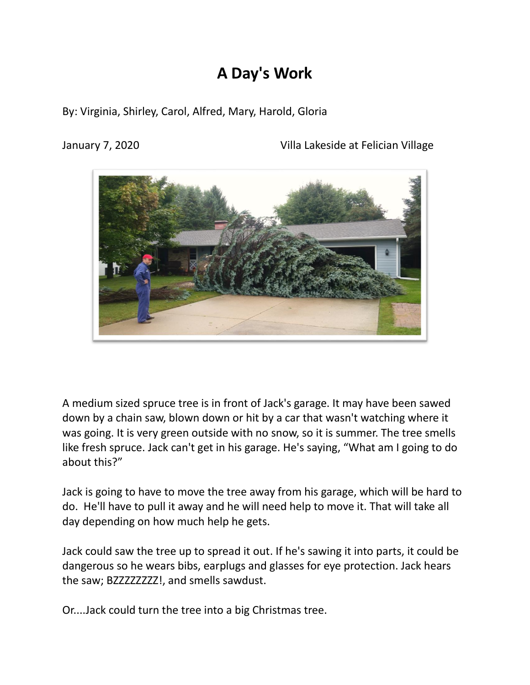## **A Day's Work**

By: Virginia, Shirley, Carol, Alfred, Mary, Harold, Gloria

January 7, 2020 Villa Lakeside at Felician Village



A medium sized spruce tree is in front of Jack's garage. It may have been sawed down by a chain saw, blown down or hit by a car that wasn't watching where it was going. It is very green outside with no snow, so it is summer. The tree smells like fresh spruce. Jack can't get in his garage. He's saying, "What am I going to do about this?"

Jack is going to have to move the tree away from his garage, which will be hard to do. He'll have to pull it away and he will need help to move it. That will take all day depending on how much help he gets.

Jack could saw the tree up to spread it out. If he's sawing it into parts, it could be dangerous so he wears bibs, earplugs and glasses for eye protection. Jack hears the saw; BZZZZZZZZZ!, and smells sawdust.

Or....Jack could turn the tree into a big Christmas tree.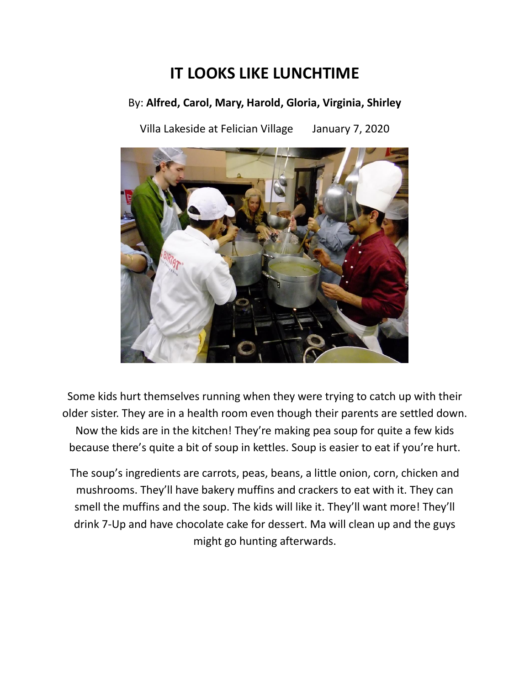## **IT LOOKS LIKE LUNCHTIME**

#### By: **Alfred, Carol, Mary, Harold, Gloria, Virginia, Shirley**

Villa Lakeside at Felician Village January 7, 2020



Some kids hurt themselves running when they were trying to catch up with their older sister. They are in a health room even though their parents are settled down. Now the kids are in the kitchen! They're making pea soup for quite a few kids because there's quite a bit of soup in kettles. Soup is easier to eat if you're hurt.

The soup's ingredients are carrots, peas, beans, a little onion, corn, chicken and mushrooms. They'll have bakery muffins and crackers to eat with it. They can smell the muffins and the soup. The kids will like it. They'll want more! They'll drink 7-Up and have chocolate cake for dessert. Ma will clean up and the guys might go hunting afterwards.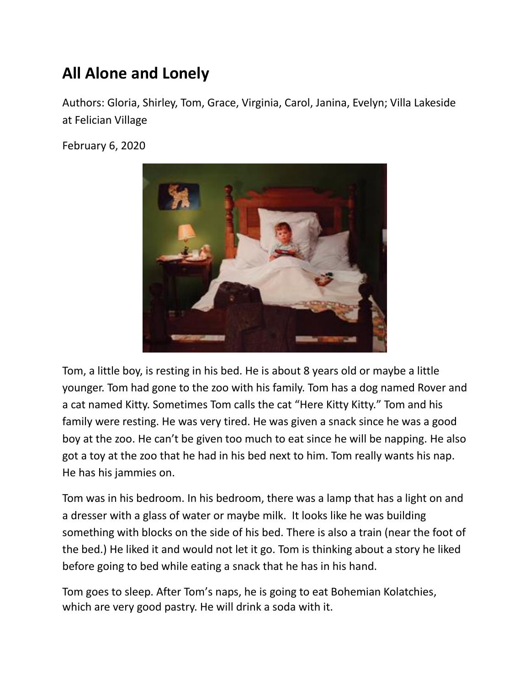# **All Alone and Lonely**

Authors: Gloria, Shirley, Tom, Grace, Virginia, Carol, Janina, Evelyn; Villa Lakeside at Felician Village

February 6, 2020



Tom, a little boy, is resting in his bed. He is about 8 years old or maybe a little younger. Tom had gone to the zoo with his family. Tom has a dog named Rover and a cat named Kitty. Sometimes Tom calls the cat "Here Kitty Kitty." Tom and his family were resting. He was very tired. He was given a snack since he was a good boy at the zoo. He can't be given too much to eat since he will be napping. He also got a toy at the zoo that he had in his bed next to him. Tom really wants his nap. He has his jammies on.

Tom was in his bedroom. In his bedroom, there was a lamp that has a light on and a dresser with a glass of water or maybe milk. It looks like he was building something with blocks on the side of his bed. There is also a train (near the foot of the bed.) He liked it and would not let it go. Tom is thinking about a story he liked before going to bed while eating a snack that he has in his hand.

Tom goes to sleep. After Tom's naps, he is going to eat Bohemian Kolatchies, which are very good pastry. He will drink a soda with it.